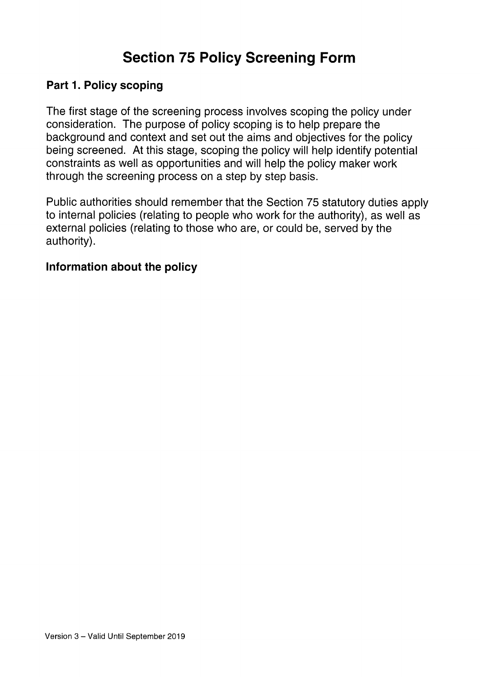# Section 75 Policy Screening Form

#### Part 1. Policy scoping

The first stage of the screening process involves scoping the policy under consideration. The purpose of policy scoping is to help prepare the background and context and set out the aims and objectives for the policy being screened. At this stage, scoping the policy will help identify potential constraints as well as opportunities and will help the policy maker work through the screening process on a step by step basis.

Public authorities should remember that the Section 75 statutory duties apply to internal policies (relating to people who work for the authority), as well as external policies (relating to those who are, or could be, served by the authority).

#### Information about the policy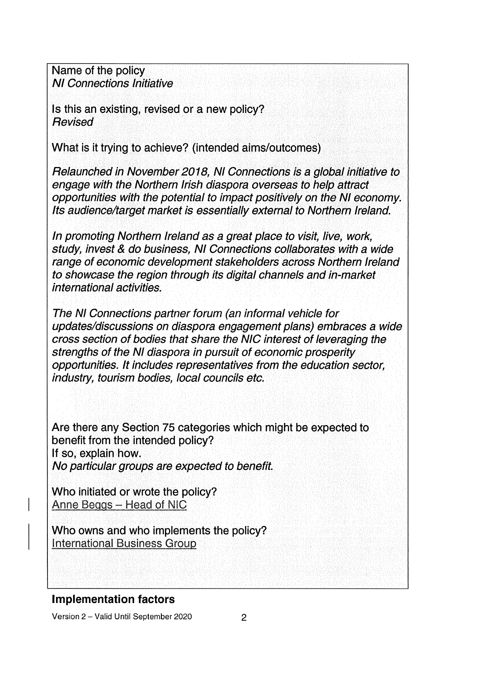Name of the policy NI Connections Initiative

Is this an existing, revised or a new policy? **Revised** 

What is it trying to achieve? (intended aims/outcomes)

Relaunched in November 2018, NI Connections is a global initiative to engage with the Northern Irish diaspora overseas to help attract opportunities with the potential to impact positively on the NI economy. Its audience/target market is essentially external to Northern Ireland.

In promoting Northern Ireland as a great place to visit, live, work, study, invest & do business, NI Connections collaborates with a wide range of economic development stakeholders across Northern Ireland to showcase the region through its digital channels and in-market international activities.

The NI Connections partner forum (an informal vehicle for updates/discussions on diaspora engagement plans) embraces a wide cross section of bodies that share the NIC interest of leveraging the strengths of the NI diaspora in pursuit of economic prosperity opportunities. It includes representatives from the education sector, industry, tourism bodies, local councils etc.

Are there any Section 75 categories which might be expected to benefit from the intended policy? If so, explain how. No particular groups are expected to benefit.

Who initiated or wrote the policy? Anne Beggs - Head of NIC

Who owns and who implements the policy? **International Business Group** 

## Implementation factors

Version <sup>2</sup> — Valid Until September 2020 2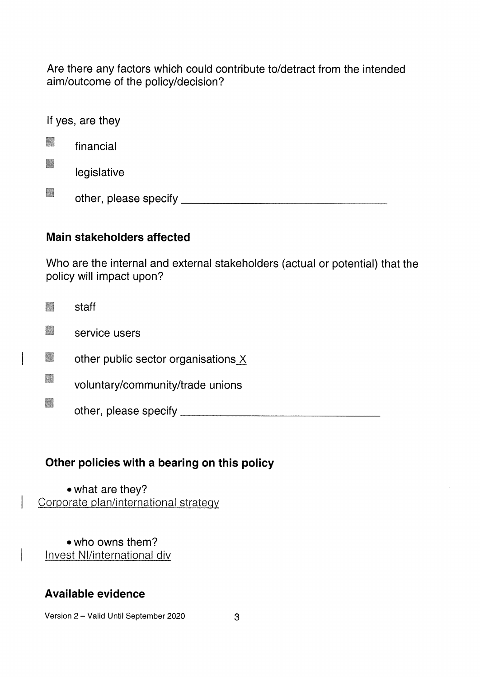Are there any factors which could contribute to/detract from the intended aim/outcome of the policy/decision?

If yes, are they

| financial |  |
|-----------|--|
|           |  |

legislative

H other, please specify

## Main stakeholders affected

Who are the internal and external stakeholders (actual or potential) that the policy will impact upon?

|    | staff                               |
|----|-------------------------------------|
| H  | service users                       |
| R  | other public sector organisations X |
| H  | voluntary/community/trade unions    |
| Z. | other, please specify               |

# Other policies with a bearing on this policy

• what are they? Corporate plan/international strategy

• who owns them? Invest NI/international div

# Available evidence

Version 2 – Valid Until September 2020 3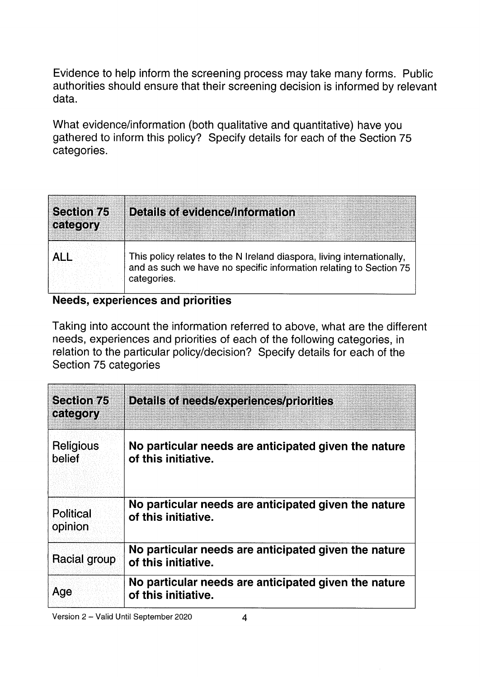Evidence to help inform the screening process may take many forms. Public authorities should ensure that their screening decision is informed by relevant data.

What evidence/information (both qualitative and quantitative) have you gathered to inform this policy? Specify details for each of the Section 75 categories.

| <b>Section 75</b><br>category | <b>Details of evidence/information</b>                                                                                                                      |
|-------------------------------|-------------------------------------------------------------------------------------------------------------------------------------------------------------|
|                               | This policy relates to the N Ireland diaspora, living internationally,<br>and as such we have no specific information relating to Section 75<br>categories. |

#### Needs, experiences and priorities

Taking into account the information referred to above, what are the different needs, experiences and priorities of each of the following categories, in relation to the particular policy/decision? Specify details for each of the Section 75 categories

| <b>Section 75</b><br>category | <b>Details of needs/experiences/priorities</b>                              |
|-------------------------------|-----------------------------------------------------------------------------|
| Religious<br>belief           | No particular needs are anticipated given the nature<br>of this initiative. |
| <b>Political</b><br>opinion   | No particular needs are anticipated given the nature<br>of this initiative. |
| <b>Racial group</b>           | No particular needs are anticipated given the nature<br>of this initiative. |
| Age                           | No particular needs are anticipated given the nature<br>of this initiative. |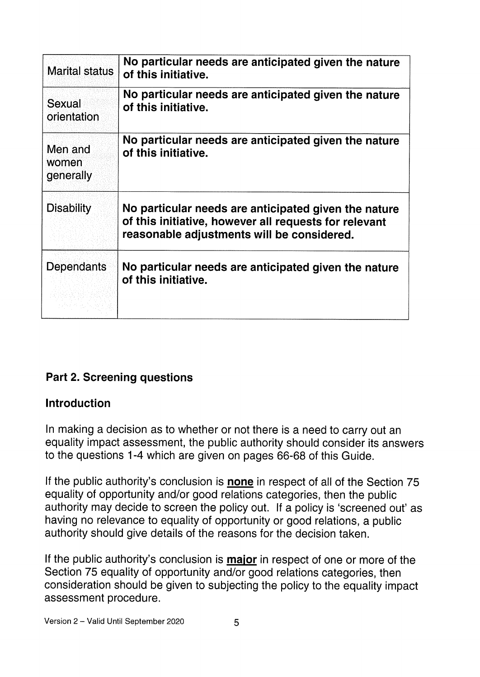| <b>Marital status</b>         | No particular needs are anticipated given the nature<br>of this initiative.                                                                                 |
|-------------------------------|-------------------------------------------------------------------------------------------------------------------------------------------------------------|
| Sexual<br>orientation         | No particular needs are anticipated given the nature<br>of this initiative.                                                                                 |
| Men and<br>women<br>generally | No particular needs are anticipated given the nature<br>of this initiative.                                                                                 |
| <b>Disability</b>             | No particular needs are anticipated given the nature<br>of this initiative, however all requests for relevant<br>reasonable adjustments will be considered. |
| Dependants                    | No particular needs are anticipated given the nature<br>of this initiative.                                                                                 |

# Part 2. Screening questions

## Introduction

In making a decision as to whether or not there is a need to carry out an equality impact assessment, the public authority should consider its answers to the questions 1-4 which are given on pages 66-68 of this Guide.

If the public authority's conclusion is **none** in respect of all of the Section 75 equality of opportunity and/or good relations categories, then the public authority may decide to screen the policy out. If a policy is 'screened out' as having no relevance to equality of opportunity or good relations, a public authority should give details of the reasons for the decision taken.

If the public authority's conclusion is **major** in respect of one or more of the Section 75 equality of opportunity and/or good relations categories, then consideration should be given to subjecting the policy to the equality impact assessment procedure.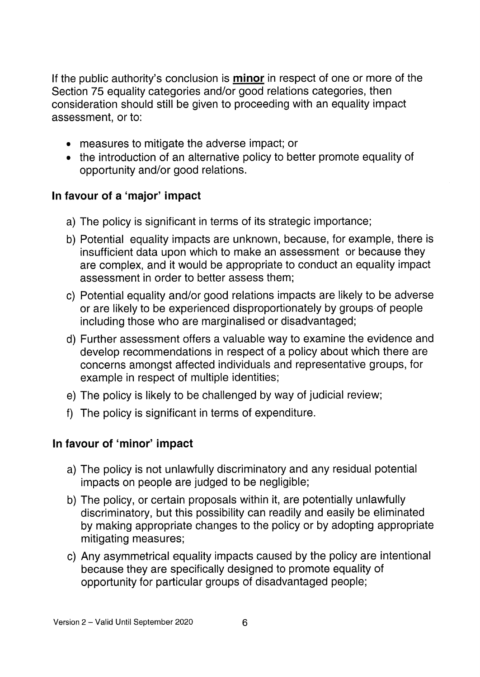If the public authority's conclusion is **minor** in respect of one or more of the Section 75 equality categories and/or good relations categories, then consideration should still be given to proceeding with an equality impact assessment, or to:

- measures to mitigate the adverse impact; or
- the introduction of an alternative policy to better promote equality of opportunity and/or good relations.

# In favour of a 'major' impact

- a) The policy is significant in terms of its strategic importance;
- b) Potential equality impacts are unknown, because, for example, there is insufficient data upon which to make an assessment or because they are complex, and it would be appropriate to conduct an equality impact assessment in order to better assess them;
- c) Potential equality and/or good relations impacts are likely to be adverse or are likely to be experienced disproportionately by groups of people including those who are marginalised or disadvantaged;
- d) Further assessment offers a valuable way to examine the evidence and develop recommendations in respect of a policy about which there are concerns amongst affected individuals and representative groups, for example in respect of multiple identities;
- e) The policy is likely to be challenged by way of judicial review;
- f) The policy is significant in terms of expenditure.

# In favour of 'minor' impact

- a) The policy is not unlawfully discriminatory and any residual potential impacts on people are judged to be negligible;
- b) The policy, or certain proposals within it, are potentially unlawfully discriminatory, but this possibility can readily and easily be eliminated by making appropriate changes to the policy or by adopting appropriate mitigating measures;
- c) Any asymmetrical equality impacts caused by the policy are intentional because they are specifically designed to promote equality of opportunity for particular groups of disadvantaged people;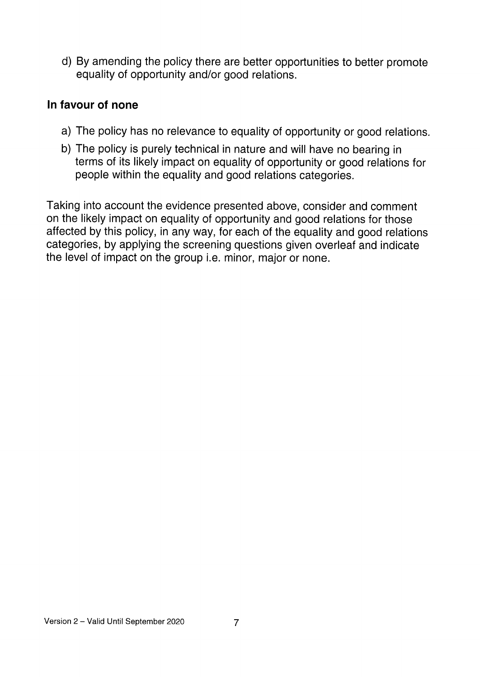d) By amending the policy there are better opportunities to better promote equality of opportunity and/or good relations.

#### In favour of none

- a) The policy has no relevance to equality of opportunity or good relations.
- b) The policy is purely technical in nature and will have no bearing in terms of its likely impact on equality of opportunity or good relations for people within the equality and good relations categories.

Taking into account the evidence presented above, consider and comment on the likely impact on equality of opportunity and good relations for those affected by this policy, in any way, for each of the equality and good relations categories, by applying the screening questions given overleaf and indicate the level of impact on the group i.e. minor, major or none.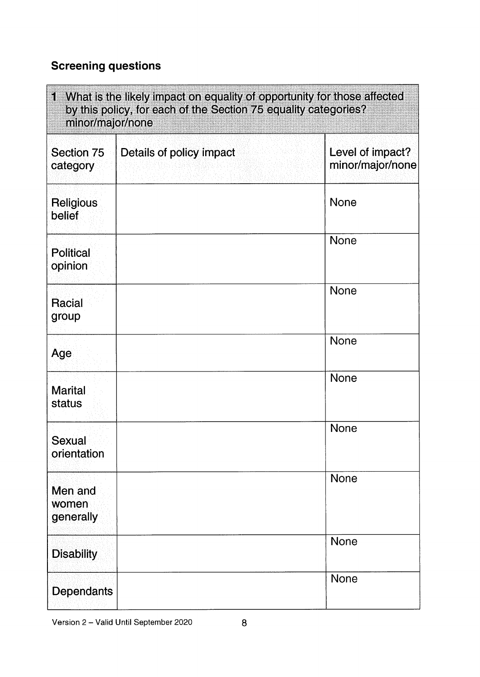# Screening questions

| 1 What is the likely impact on equality of opportunity for those affected<br>by this policy, for each of the Section 75 equality categories?<br>minor/major/none |                          |                                      |
|------------------------------------------------------------------------------------------------------------------------------------------------------------------|--------------------------|--------------------------------------|
| Section 75<br>category                                                                                                                                           | Details of policy impact | Level of impact?<br>minor/major/none |
| Religious<br>belief                                                                                                                                              |                          | <b>None</b>                          |
| <b>Political</b><br>opinion                                                                                                                                      |                          | <b>None</b>                          |
| Racial<br>group                                                                                                                                                  |                          | <b>None</b>                          |
| Age                                                                                                                                                              |                          | <b>None</b>                          |
| <b>Marital</b><br>status                                                                                                                                         |                          | <b>None</b>                          |
| <b>Sexual</b><br>orientation                                                                                                                                     |                          | None                                 |
| Men and<br>women<br>generally                                                                                                                                    |                          | <b>None</b>                          |
| <b>Disability</b>                                                                                                                                                |                          | None                                 |
| <b>Dependants</b>                                                                                                                                                |                          | <b>None</b>                          |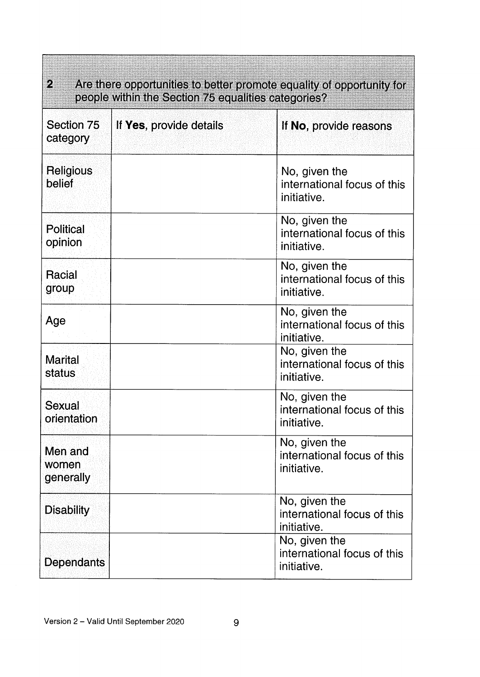| $\mathcal{D}_\mathbf{a}$<br>Are there opportunities to better promote equality of opportunity for<br>people within the Section 75 equalities categories? |                         |                                                             |  |
|----------------------------------------------------------------------------------------------------------------------------------------------------------|-------------------------|-------------------------------------------------------------|--|
| Section 75<br>category                                                                                                                                   | If Yes, provide details | If No, provide reasons                                      |  |
| Religious<br>belief                                                                                                                                      |                         | No, given the<br>international focus of this<br>initiative. |  |
| <b>Political</b><br>opinion                                                                                                                              |                         | No, given the<br>international focus of this<br>initiative. |  |
| Racial<br>group                                                                                                                                          |                         | No, given the<br>international focus of this<br>initiative. |  |
| Age                                                                                                                                                      |                         | No, given the<br>international focus of this<br>initiative. |  |
| <b>Marital</b><br>status                                                                                                                                 |                         | No, given the<br>international focus of this<br>initiative. |  |
| Sexual<br>orientation                                                                                                                                    |                         | No, given the<br>international focus of this<br>initiative  |  |
| Men and<br>women<br>generally                                                                                                                            |                         | No, given the<br>international focus of this<br>initiative. |  |
| <b>Disability</b>                                                                                                                                        |                         | No, given the<br>international focus of this<br>initiative. |  |
| <b>Dependants</b>                                                                                                                                        |                         | No, given the<br>international focus of this<br>initiative. |  |

<u> La provincia de la provincia de la provincia de la provincia de la provincia de la provincia de la provincia </u>

**Communist**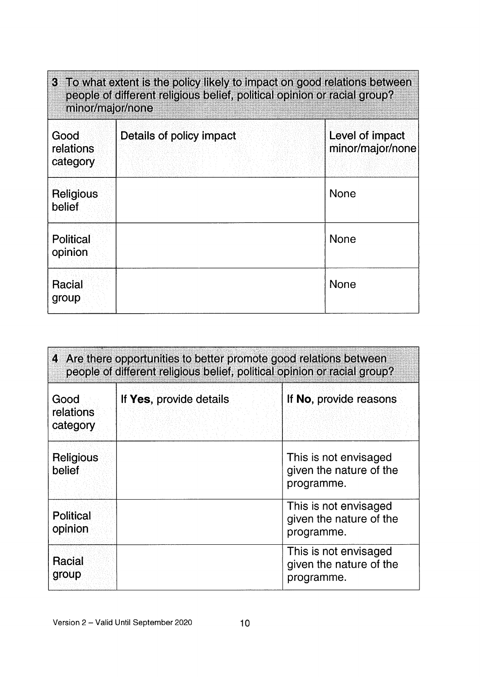| 3 To what extent is the policy likely to impact on good relations between<br>people of different religious belief, political opinion or racial group?<br>minor/major/none |                          |                                     |
|---------------------------------------------------------------------------------------------------------------------------------------------------------------------------|--------------------------|-------------------------------------|
| Good<br>relations<br>category                                                                                                                                             | Details of policy impact | Level of impact<br>minor/major/none |
| Religious<br>belief                                                                                                                                                       |                          | <b>None</b>                         |
| Political<br>opinion                                                                                                                                                      |                          | <b>None</b>                         |
| Racial<br>group                                                                                                                                                           |                          | <b>None</b>                         |

| 4 Are there opportunities to better promote good relations between<br>people of different religious belief, political opinion or racial group? |                         |                                                                |
|------------------------------------------------------------------------------------------------------------------------------------------------|-------------------------|----------------------------------------------------------------|
| Good<br>relations<br>category                                                                                                                  | If Yes, provide details | If No, provide reasons                                         |
| <b>Religious</b><br>belief                                                                                                                     |                         | This is not envisaged<br>given the nature of the<br>programme. |
| <b>Political</b><br>opinion                                                                                                                    |                         | This is not envisaged<br>given the nature of the<br>programme. |
| Racial<br>group                                                                                                                                |                         | This is not envisaged<br>given the nature of the<br>programme. |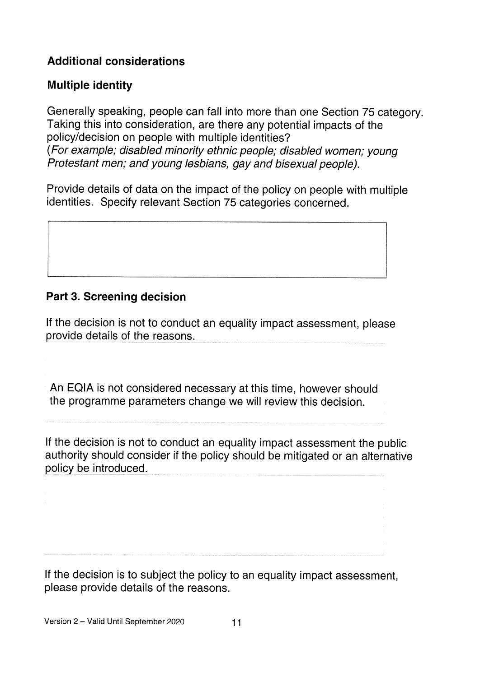# Additional considerations

## Multiple identity

Generally speaking, people can fall into more than one Section <sup>75</sup> category. Taking this into consideration, are there any potential impacts of the policy/decision on people with multiple identities? (For example; disabled minority ethnic people; disabled women; young Protestant men; and young lesbians, gay and bisexual people).

Provide details of data on the impact of the policy on people with multiple identities. Specify relevant Section 75 categories concerned.

## Part 3. Screening decision

If the decision is not to conduct an equality impact assessment, <sup>p</sup>lease provide details of the reasons.

An EQIA is not considered necessary at this time, however should the programme parameters change we will review this decision.

If the decision is not to conduct an equality impact assessment the public authority should consider if the policy should be mitigated or an alternative policy be introduced.

If the decision is to subject the policy to an equality impact assessment, please provide details of the reasons.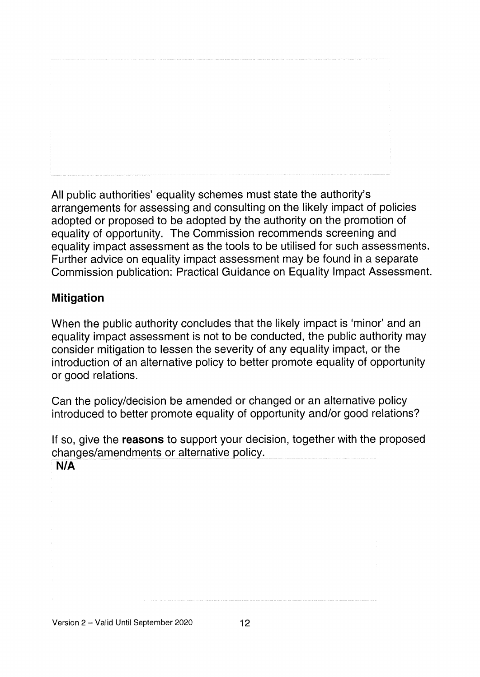All public authorities' equality schemes must state the authority's arrangements for assessing and consulting on the likely impact of policies adopted or proposed to be adopted by the authority on the promotion of equality of opportunity. The Commission recommends screening and equality impact assessment as the tools to be utilised for such assessments. Further advice on equality impact assessment may be found in a separate Commission publication: Practical Guidance on Equality Impact Assessment.

## Mitigation

When the public authority concludes that the likely impact is 'minor' and an equality impact assessment is not to be conducted, the public authority may consider mitigation to lessen the severity of any equality impact, or the introduction of an alternative policy to better promote equality of opportunity or good relations.

Can the policy/decision be amended or changed or an alternative policy introduced to better promote equality of opportunity and/or good relations?

If so, give the **reasons** to support your decision, together with the proposed changes/amendments or alternative policy. N/A

Version 2 – Valid Until September 2020 12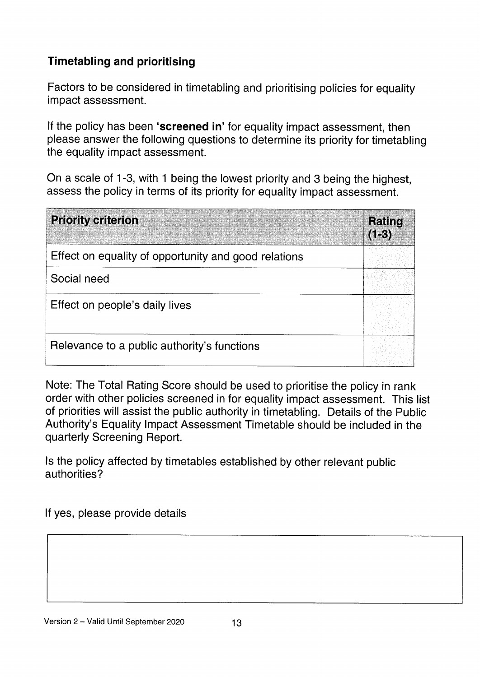# Timetabling and prioritising

Factors to be considered in timetabling and prioritising policies for equality impact assessment.

If the policy has been 'screened in' for equality impact assessment, then <sup>p</sup>lease answer the following questions to determine its priority for timetabling the equality impact assessment.

On <sup>a</sup> scale of 1-3, with <sup>1</sup> being the lowest priority and <sup>3</sup> being the highest, assess the policy in terms of its priority for equality impact assessment.

| <b>Priority criterion</b>                            | <b>Rating</b><br>$(1-3)$ |
|------------------------------------------------------|--------------------------|
| Effect on equality of opportunity and good relations |                          |
| Social need                                          |                          |
| Effect on people's daily lives                       |                          |
| Relevance to a public authority's functions          |                          |

Note: The Total Rating Score should be used to prioritise the policy in rank order with other policies screened in for equality impact assessment. This list of priorities will assist the public authority in timetabling. Details of the Public Authority's Equality Impact Assessment Timetable should be included in the quarterly Screening Report.

Is the policy affected by timetables established by other relevant public authorities?

If yes, please provide details